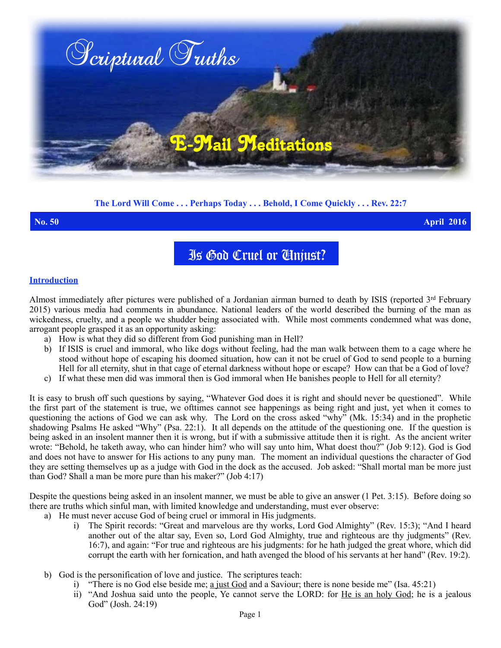

# **The Lord Will Come . . . Perhaps Today . . . Behold, I Come Quickly . . . Rev. 22:7**

**No. 50 April 2016**

Is God Cruel or Unjust?

## **Introduction**

Almost immediately after pictures were published of a Jordanian airman burned to death by ISIS (reported 3<sup>rd</sup> February 2015) various media had comments in abundance. National leaders of the world described the burning of the man as wickedness, cruelty, and a people we shudder being associated with. While most comments condemned what was done, arrogant people grasped it as an opportunity asking:

- a) How is what they did so different from God punishing man in Hell?
- b) If ISIS is cruel and immoral, who like dogs without feeling, had the man walk between them to a cage where he stood without hope of escaping his doomed situation, how can it not be cruel of God to send people to a burning Hell for all eternity, shut in that cage of eternal darkness without hope or escape? How can that be a God of love?
- c) If what these men did was immoral then is God immoral when He banishes people to Hell for all eternity?

It is easy to brush off such questions by saying, "Whatever God does it is right and should never be questioned". While the first part of the statement is true, we ofttimes cannot see happenings as being right and just, yet when it comes to questioning the actions of God we can ask why. The Lord on the cross asked "why" (Mk. 15:34) and in the prophetic shadowing Psalms He asked "Why" (Psa. 22:1). It all depends on the attitude of the questioning one. If the question is being asked in an insolent manner then it is wrong, but if with a submissive attitude then it is right. As the ancient writer wrote: "Behold, he taketh away, who can hinder him? who will say unto him, What doest thou?" (Job 9:12). God is God and does not have to answer for His actions to any puny man. The moment an individual questions the character of God they are setting themselves up as a judge with God in the dock as the accused. Job asked: "Shall mortal man be more just than God? Shall a man be more pure than his maker?" (Job 4:17)

Despite the questions being asked in an insolent manner, we must be able to give an answer (1 Pet. 3:15). Before doing so there are truths which sinful man, with limited knowledge and understanding, must ever observe:

- a) He must never accuse God of being cruel or immoral in His judgments.
	- i) The Spirit records: "Great and marvelous are thy works, Lord God Almighty" (Rev. 15:3); "And I heard another out of the altar say, Even so, Lord God Almighty, true and righteous are thy judgments" (Rev. 16:7), and again: "For true and righteous are his judgments: for he hath judged the great whore, which did corrupt the earth with her fornication, and hath avenged the blood of his servants at her hand" (Rev. 19:2).
- b) God is the personification of love and justice. The scriptures teach:
	- i) "There is no God else beside me; a just God and a Saviour; there is none beside me" (Isa.  $45:21$ )
	- ii) "And Joshua said unto the people, Ye cannot serve the LORD: for He is an holy God; he is a jealous God" (Josh. 24:19)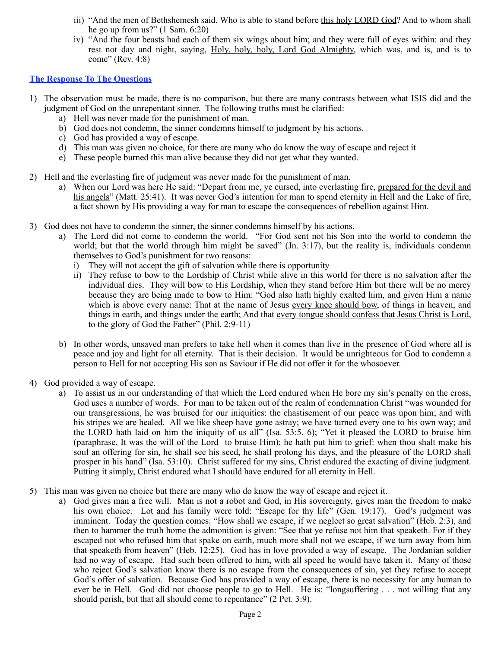- iii) "And the men of Bethshemesh said, Who is able to stand before this holy LORD God? And to whom shall he go up from us?" (1 Sam. 6:20)
- iv) "And the four beasts had each of them six wings about him; and they were full of eyes within: and they rest not day and night, saying, Holy, holy, holy, Lord God Almighty, which was, and is, and is to come" (Rev. 4:8)

## **The Response To The Questions**

- 1) The observation must be made, there is no comparison, but there are many contrasts between what ISIS did and the judgment of God on the unrepentant sinner. The following truths must be clarified:
	- a) Hell was never made for the punishment of man.
	- b) God does not condemn, the sinner condemns himself to judgment by his actions.
	- c) God has provided a way of escape.
	- d) This man was given no choice, for there are many who do know the way of escape and reject it
	- e) These people burned this man alive because they did not get what they wanted.
- 2) Hell and the everlasting fire of judgment was never made for the punishment of man.
	- a) When our Lord was here He said: "Depart from me, ye cursed, into everlasting fire, prepared for the devil and his angels" (Matt. 25:41). It was never God's intention for man to spend eternity in Hell and the Lake of fire, a fact shown by His providing a way for man to escape the consequences of rebellion against Him.
- 3) God does not have to condemn the sinner, the sinner condemns himself by his actions.
	- a) The Lord did not come to condemn the world. "For God sent not his Son into the world to condemn the world; but that the world through him might be saved" (Jn. 3:17), but the reality is, individuals condemn themselves to God's punishment for two reasons:
		- i) They will not accept the gift of salvation while there is opportunity
		- ii) They refuse to bow to the Lordship of Christ while alive in this world for there is no salvation after the individual dies. They will bow to His Lordship, when they stand before Him but there will be no mercy because they are being made to bow to Him: "God also hath highly exalted him, and given Him a name which is above every name: That at the name of Jesus every knee should bow, of things in heaven, and things in earth, and things under the earth; And that every tongue should confess that Jesus Christ is Lord, to the glory of God the Father" (Phil. 2:9-11)
	- b) In other words, unsaved man prefers to take hell when it comes than live in the presence of God where all is peace and joy and light for all eternity. That is their decision. It would be unrighteous for God to condemn a person to Hell for not accepting His son as Saviour if He did not offer it for the whosoever.
- 4) God provided a way of escape.
	- a) To assist us in our understanding of that which the Lord endured when He bore my sin's penalty on the cross, God uses a number of words. For man to be taken out of the realm of condemnation Christ "was wounded for our transgressions, he was bruised for our iniquities: the chastisement of our peace was upon him; and with his stripes we are healed. All we like sheep have gone astray; we have turned every one to his own way; and the LORD hath laid on him the iniquity of us all" (Isa. 53:5, 6); "Yet it pleased the LORD to bruise him (paraphrase, It was the will of the Lord to bruise Him); he hath put him to grief: when thou shalt make his soul an offering for sin, he shall see his seed, he shall prolong his days, and the pleasure of the LORD shall prosper in his hand" (Isa. 53:10). Christ suffered for my sins, Christ endured the exacting of divine judgment. Putting it simply, Christ endured what I should have endured for all eternity in Hell.
- 5) This man was given no choice but there are many who do know the way of escape and reject it.
	- a) God gives man a free will. Man is not a robot and God, in His sovereignty, gives man the freedom to make his own choice. Lot and his family were told: "Escape for thy life" (Gen. 19:17). God's judgment was imminent. Today the question comes: "How shall we escape, if we neglect so great salvation" (Heb. 2:3), and then to hammer the truth home the admonition is given: "See that ye refuse not him that speaketh. For if they escaped not who refused him that spake on earth, much more shall not we escape, if we turn away from him that speaketh from heaven" (Heb. 12:25). God has in love provided a way of escape. The Jordanian soldier had no way of escape. Had such been offered to him, with all speed he would have taken it. Many of those who reject God's salvation know there is no escape from the consequences of sin, yet they refuse to accept God's offer of salvation. Because God has provided a way of escape, there is no necessity for any human to ever be in Hell. God did not choose people to go to Hell. He is: "longsuffering . . . not willing that any should perish, but that all should come to repentance" (2 Pet. 3:9).